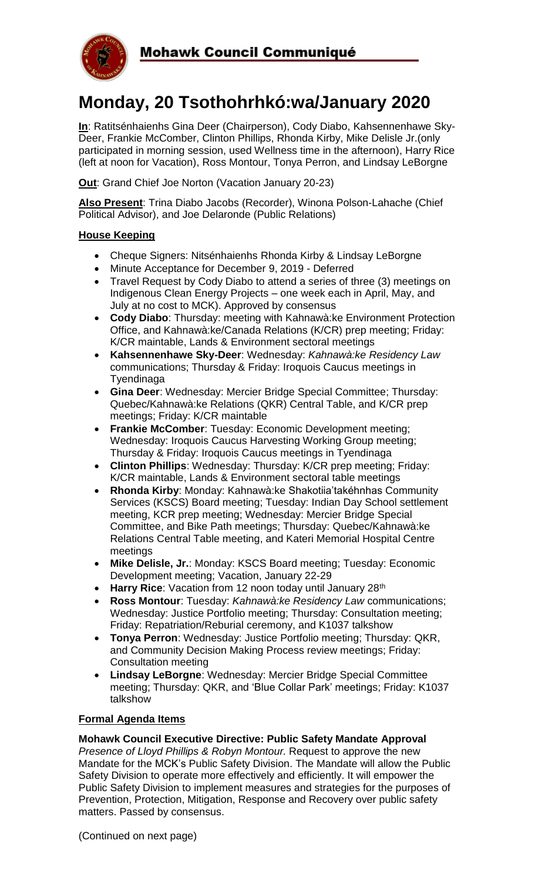

# **Monday, 20 Tsothohrhkó:wa/January 2020**

**In**: Ratitsénhaienhs Gina Deer (Chairperson), Cody Diabo, Kahsennenhawe Sky-Deer, Frankie McComber, Clinton Phillips, Rhonda Kirby, Mike Delisle Jr.(only participated in morning session, used Wellness time in the afternoon), Harry Rice (left at noon for Vacation), Ross Montour, Tonya Perron, and Lindsay LeBorgne

**Out**: Grand Chief Joe Norton (Vacation January 20-23)

**Also Present**: Trina Diabo Jacobs (Recorder), Winona Polson-Lahache (Chief Political Advisor), and Joe Delaronde (Public Relations)

#### **House Keeping**

- Cheque Signers: Nitsénhaienhs Rhonda Kirby & Lindsay LeBorgne
- Minute Acceptance for December 9, 2019 Deferred
- Travel Request by Cody Diabo to attend a series of three (3) meetings on Indigenous Clean Energy Projects – one week each in April, May, and July at no cost to MCK). Approved by consensus
- **Cody Diabo**: Thursday: meeting with Kahnawà:ke Environment Protection Office, and Kahnawà:ke/Canada Relations (K/CR) prep meeting; Friday: K/CR maintable, Lands & Environment sectoral meetings
- **Kahsennenhawe Sky-Deer**: Wednesday: *Kahnawà:ke Residency Law* communications; Thursday & Friday: Iroquois Caucus meetings in Tyendinaga
- **Gina Deer**: Wednesday: Mercier Bridge Special Committee; Thursday: Quebec/Kahnawà:ke Relations (QKR) Central Table, and K/CR prep meetings; Friday: K/CR maintable
- **Frankie McComber**: Tuesday: Economic Development meeting; Wednesday: Iroquois Caucus Harvesting Working Group meeting; Thursday & Friday: Iroquois Caucus meetings in Tyendinaga
- **Clinton Phillips**: Wednesday: Thursday: K/CR prep meeting; Friday: K/CR maintable, Lands & Environment sectoral table meetings
- **Rhonda Kirby**: Monday: Kahnawà:ke Shakotiia'takéhnhas Community Services (KSCS) Board meeting; Tuesday: Indian Day School settlement meeting, KCR prep meeting; Wednesday: Mercier Bridge Special Committee, and Bike Path meetings; Thursday: Quebec/Kahnawà:ke Relations Central Table meeting, and Kateri Memorial Hospital Centre meetings
- **Mike Delisle, Jr.**: Monday: KSCS Board meeting; Tuesday: Economic Development meeting; Vacation, January 22-29
- **Harry Rice**: Vacation from 12 noon today until January 28<sup>th</sup>
- **Ross Montour**: Tuesday: *Kahnawà:ke Residency Law* communications; Wednesday: Justice Portfolio meeting; Thursday: Consultation meeting; Friday: Repatriation/Reburial ceremony, and K1037 talkshow
- **Tonya Perron**: Wednesday: Justice Portfolio meeting; Thursday: QKR, and Community Decision Making Process review meetings; Friday: Consultation meeting
- **Lindsay LeBorgne**: Wednesday: Mercier Bridge Special Committee meeting; Thursday: QKR, and 'Blue Collar Park' meetings; Friday: K1037 talkshow

### **Formal Agenda Items**

#### **Mohawk Council Executive Directive: Public Safety Mandate Approval**

*Presence of Lloyd Phillips & Robyn Montour.* Request to approve the new Mandate for the MCK's Public Safety Division. The Mandate will allow the Public Safety Division to operate more effectively and efficiently. It will empower the Public Safety Division to implement measures and strategies for the purposes of Prevention, Protection, Mitigation, Response and Recovery over public safety matters. Passed by consensus.

(Continued on next page)